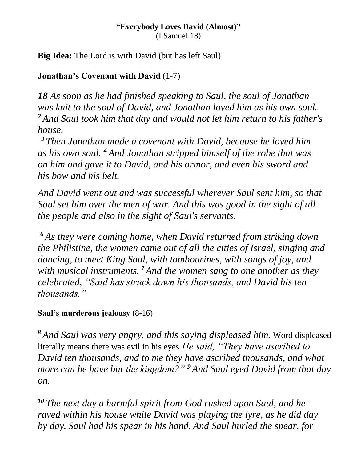#### **"Everybody Loves David (Almost)"** (I Samuel 18)

**Big Idea:** The Lord is with David (but has left Saul)

### **Jonathan's Covenant with David** (1-7)

*18 As soon as he had finished speaking to Saul, the soul of Jonathan was knit to the soul of David, and Jonathan loved him as his own soul. <sup>2</sup> And Saul took him that day and would not let him return to his father's house.*

*<sup>3</sup> Then Jonathan made a covenant with David, because he loved him as his own soul. <sup>4</sup> And Jonathan stripped himself of the robe that was on him and gave it to David, and his armor, and even his sword and his bow and his belt.*

*And David went out and was successful wherever Saul sent him, so that Saul set him over the men of war. And this was good in the sight of all the people and also in the sight of Saul's servants.*

*<sup>6</sup> As they were coming home, when David returned from striking down the Philistine, the women came out of all the cities of Israel, singing and dancing, to meet King Saul, with tambourines, with songs of joy, and with musical instruments. <sup>7</sup> And the women sang to one another as they celebrated, "Saul has struck down his thousands, and David his ten thousands."*

#### **Saul's murderous jealousy** (8-16)

*<sup>8</sup> And Saul was very angry, and this saying displeased him.* Word displeased literally means there was evil in his eyes *He said, "They have ascribed to David ten thousands, and to me they have ascribed thousands, and what more can he have but the kingdom?" <sup>9</sup> And Saul eyed David from that day on.*

*<sup>10</sup> The next day a harmful spirit from God rushed upon Saul, and he raved within his house while David was playing the lyre, as he did day by day. Saul had his spear in his hand. And Saul hurled the spear, for*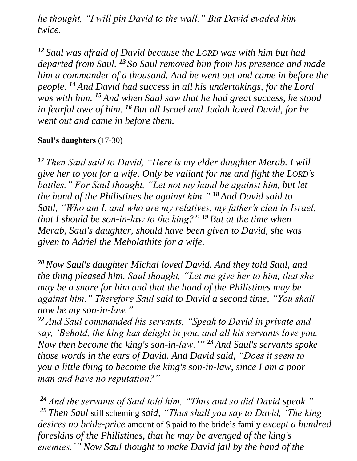*he thought, "I will pin David to the wall." But David evaded him twice.*

*<sup>12</sup> Saul was afraid of David because the LORD was with him but had departed from Saul. <sup>13</sup> So Saul removed him from his presence and made him a commander of a thousand. And he went out and came in before the people. <sup>14</sup> And David had success in all his undertakings, for the Lord was with him. <sup>15</sup> And when Saul saw that he had great success, he stood in fearful awe of him. <sup>16</sup> But all Israel and Judah loved David, for he went out and came in before them.*

#### **Saul's daughters** (17-30)

*<sup>17</sup> Then Saul said to David, "Here is my elder daughter Merab. I will give her to you for a wife. Only be valiant for me and fight the LORD's battles." For Saul thought, "Let not my hand be against him, but let the hand of the Philistines be against him." <sup>18</sup> And David said to Saul, "Who am I, and who are my relatives, my father's clan in Israel, that I should be son-in-law to the king?" <sup>19</sup> But at the time when Merab, Saul's daughter, should have been given to David, she was given to Adriel the Meholathite for a wife.*

*<sup>20</sup>Now Saul's daughter Michal loved David. And they told Saul, and the thing pleased him. Saul thought, "Let me give her to him, that she may be a snare for him and that the hand of the Philistines may be against him." Therefore Saul said to David a second time, "You shall now be my son-in-law."*

*<sup>22</sup> And Saul commanded his servants, "Speak to David in private and say, 'Behold, the king has delight in you, and all his servants love you. Now then become the king's son-in-law.'" <sup>23</sup> And Saul's servants spoke those words in the ears of David. And David said, "Does it seem to you a little thing to become the king's son-in-law, since I am a poor man and have no reputation?"*

*<sup>24</sup> And the servants of Saul told him, "Thus and so did David speak." <sup>25</sup> Then Saul* still scheming *said, "Thus shall you say to David, 'The king desires no bride-price* amount of \$ paid to the bride's family *except a hundred foreskins of the Philistines, that he may be avenged of the king's enemies.'" Now Saul thought to make David fall by the hand of the*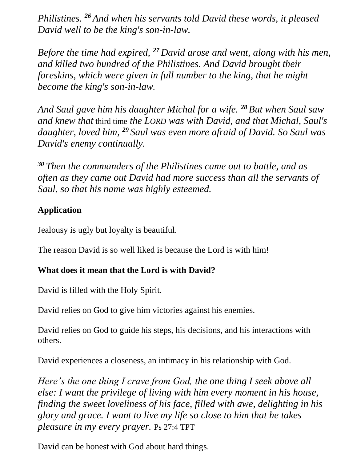*Philistines. <sup>26</sup> And when his servants told David these words, it pleased David well to be the king's son-in-law.*

*Before the time had expired, <sup>27</sup> David arose and went, along with his men, and killed two hundred of the Philistines. And David brought their foreskins, which were given in full number to the king, that he might become the king's son-in-law.* 

*And Saul gave him his daughter Michal for a wife. <sup>28</sup> But when Saul saw and knew that* third time *the LORD was with David, and that Michal, Saul's daughter, loved him, <sup>29</sup> Saul was even more afraid of David. So Saul was David's enemy continually.*

*<sup>30</sup> Then the commanders of the Philistines came out to battle, and as often as they came out David had more success than all the servants of Saul, so that his name was highly esteemed.*

# **Application**

Jealousy is ugly but loyalty is beautiful.

The reason David is so well liked is because the Lord is with him!

# **What does it mean that the Lord is with David?**

David is filled with the Holy Spirit.

David relies on God to give him victories against his enemies.

David relies on God to guide his steps, his decisions, and his interactions with others.

David experiences a closeness, an intimacy in his relationship with God.

*Here's the one thing I crave from God, the one thing I seek above all else: I want the privilege of living with him every moment in his house, finding the sweet loveliness of his face, filled with awe, delighting in his glory and grace. I want to live my life so close to him that he takes pleasure in my every prayer.* Ps 27:4 TPT

David can be honest with God about hard things.